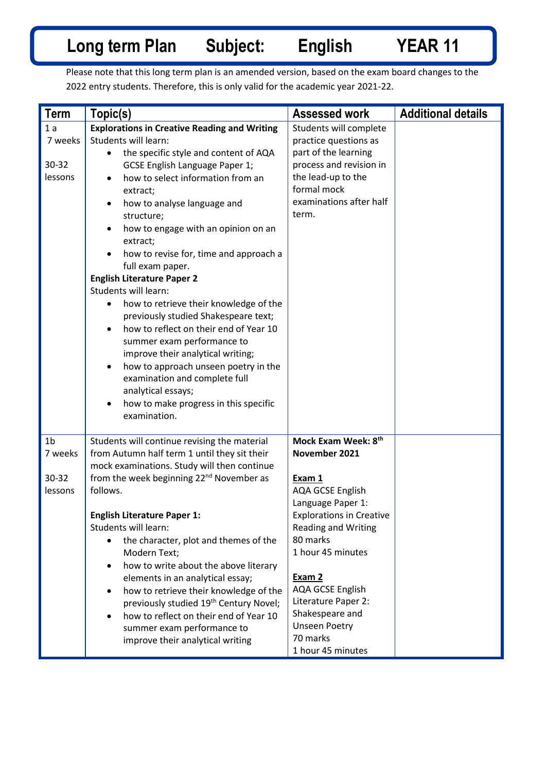## **Long term Plan Subject: English YEAR 11**

Please note that this long term plan is an amended version, based on the exam board changes to the 2022 entry students. Therefore, this is only valid for the academic year 2021-22.

| <b>Term</b>    | Topic(s)                                             | <b>Assessed work</b>             | <b>Additional details</b> |
|----------------|------------------------------------------------------|----------------------------------|---------------------------|
| 1 a            | <b>Explorations in Creative Reading and Writing</b>  | Students will complete           |                           |
| 7 weeks        | Students will learn:                                 | practice questions as            |                           |
|                | the specific style and content of AQA<br>$\bullet$   | part of the learning             |                           |
| 30-32          | GCSE English Language Paper 1;                       | process and revision in          |                           |
| lessons        | how to select information from an<br>$\bullet$       | the lead-up to the               |                           |
|                | extract;                                             | formal mock                      |                           |
|                | how to analyse language and<br>$\bullet$             | examinations after half          |                           |
|                | structure;                                           | term.                            |                           |
|                | how to engage with an opinion on an<br>٠             |                                  |                           |
|                | extract;                                             |                                  |                           |
|                | how to revise for, time and approach a               |                                  |                           |
|                | full exam paper.                                     |                                  |                           |
|                | <b>English Literature Paper 2</b>                    |                                  |                           |
|                | Students will learn:                                 |                                  |                           |
|                | how to retrieve their knowledge of the               |                                  |                           |
|                | previously studied Shakespeare text;                 |                                  |                           |
|                | how to reflect on their end of Year 10<br>$\bullet$  |                                  |                           |
|                | summer exam performance to                           |                                  |                           |
|                | improve their analytical writing;                    |                                  |                           |
|                | how to approach unseen poetry in the<br>٠            |                                  |                           |
|                | examination and complete full                        |                                  |                           |
|                | analytical essays;                                   |                                  |                           |
|                | how to make progress in this specific                |                                  |                           |
|                | examination.                                         |                                  |                           |
|                |                                                      |                                  |                           |
| 1 <sub>b</sub> | Students will continue revising the material         | Mock Exam Week: 8 <sup>th</sup>  |                           |
| 7 weeks        | from Autumn half term 1 until they sit their         | November 2021                    |                           |
|                | mock examinations. Study will then continue          |                                  |                           |
| 30-32          | from the week beginning 22 <sup>nd</sup> November as | Exam 1                           |                           |
| lessons        | follows.                                             | <b>AQA GCSE English</b>          |                           |
|                |                                                      | Language Paper 1:                |                           |
|                | <b>English Literature Paper 1:</b>                   | <b>Explorations in Creative</b>  |                           |
|                | Students will learn:                                 | <b>Reading and Writing</b>       |                           |
|                | the character, plot and themes of the                | 80 marks                         |                           |
|                | Modern Text;                                         | 1 hour 45 minutes                |                           |
|                | how to write about the above literary<br>$\bullet$   |                                  |                           |
|                | elements in an analytical essay;                     | Exam 2                           |                           |
|                | how to retrieve their knowledge of the<br>$\bullet$  | AQA GCSE English                 |                           |
|                | previously studied 19th Century Novel;               | Literature Paper 2:              |                           |
|                | how to reflect on their end of Year 10<br>$\bullet$  | Shakespeare and                  |                           |
|                | summer exam performance to                           | <b>Unseen Poetry</b><br>70 marks |                           |
|                | improve their analytical writing                     |                                  |                           |
|                |                                                      | 1 hour 45 minutes                |                           |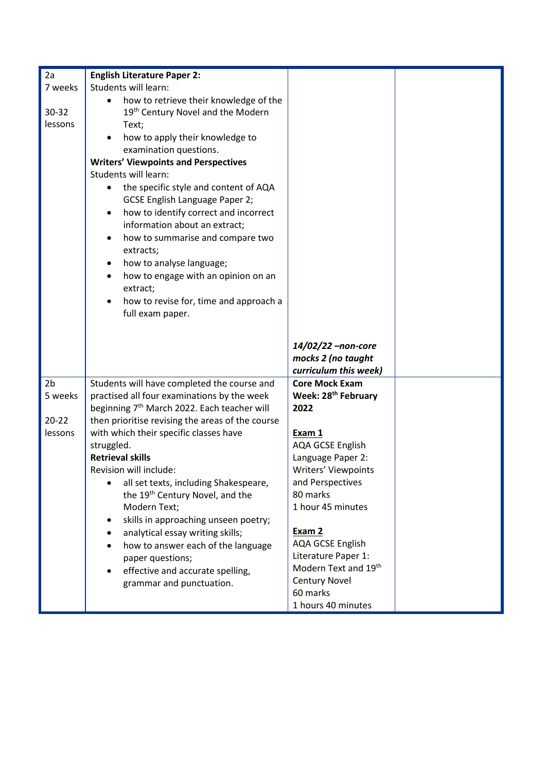| 7 weeks<br>$30 - 32$ | Students will learn:                                                                                                                                                                                                                                                                                                                                   |                                                                                                                                                                                                                                 |  |
|----------------------|--------------------------------------------------------------------------------------------------------------------------------------------------------------------------------------------------------------------------------------------------------------------------------------------------------------------------------------------------------|---------------------------------------------------------------------------------------------------------------------------------------------------------------------------------------------------------------------------------|--|
|                      |                                                                                                                                                                                                                                                                                                                                                        |                                                                                                                                                                                                                                 |  |
|                      | how to retrieve their knowledge of the                                                                                                                                                                                                                                                                                                                 |                                                                                                                                                                                                                                 |  |
|                      | 19 <sup>th</sup> Century Novel and the Modern                                                                                                                                                                                                                                                                                                          |                                                                                                                                                                                                                                 |  |
| lessons              | Text;                                                                                                                                                                                                                                                                                                                                                  |                                                                                                                                                                                                                                 |  |
|                      | how to apply their knowledge to                                                                                                                                                                                                                                                                                                                        |                                                                                                                                                                                                                                 |  |
|                      | examination questions.                                                                                                                                                                                                                                                                                                                                 |                                                                                                                                                                                                                                 |  |
|                      | <b>Writers' Viewpoints and Perspectives</b>                                                                                                                                                                                                                                                                                                            |                                                                                                                                                                                                                                 |  |
|                      | Students will learn:                                                                                                                                                                                                                                                                                                                                   |                                                                                                                                                                                                                                 |  |
|                      | the specific style and content of AQA                                                                                                                                                                                                                                                                                                                  |                                                                                                                                                                                                                                 |  |
|                      | GCSE English Language Paper 2;                                                                                                                                                                                                                                                                                                                         |                                                                                                                                                                                                                                 |  |
|                      | how to identify correct and incorrect<br>$\bullet$                                                                                                                                                                                                                                                                                                     |                                                                                                                                                                                                                                 |  |
|                      | information about an extract;                                                                                                                                                                                                                                                                                                                          |                                                                                                                                                                                                                                 |  |
|                      | how to summarise and compare two                                                                                                                                                                                                                                                                                                                       |                                                                                                                                                                                                                                 |  |
|                      | extracts;                                                                                                                                                                                                                                                                                                                                              |                                                                                                                                                                                                                                 |  |
|                      | how to analyse language;                                                                                                                                                                                                                                                                                                                               |                                                                                                                                                                                                                                 |  |
|                      | how to engage with an opinion on an<br>$\bullet$                                                                                                                                                                                                                                                                                                       |                                                                                                                                                                                                                                 |  |
|                      | extract;                                                                                                                                                                                                                                                                                                                                               |                                                                                                                                                                                                                                 |  |
|                      | how to revise for, time and approach a                                                                                                                                                                                                                                                                                                                 |                                                                                                                                                                                                                                 |  |
|                      | full exam paper.                                                                                                                                                                                                                                                                                                                                       |                                                                                                                                                                                                                                 |  |
|                      |                                                                                                                                                                                                                                                                                                                                                        |                                                                                                                                                                                                                                 |  |
|                      |                                                                                                                                                                                                                                                                                                                                                        |                                                                                                                                                                                                                                 |  |
|                      |                                                                                                                                                                                                                                                                                                                                                        | 14/02/22 -non-core                                                                                                                                                                                                              |  |
|                      |                                                                                                                                                                                                                                                                                                                                                        | mocks 2 (no taught                                                                                                                                                                                                              |  |
|                      |                                                                                                                                                                                                                                                                                                                                                        | curriculum this week)                                                                                                                                                                                                           |  |
| 2 <sub>b</sub>       | Students will have completed the course and                                                                                                                                                                                                                                                                                                            | <b>Core Mock Exam</b>                                                                                                                                                                                                           |  |
| 5 weeks              | practised all four examinations by the week                                                                                                                                                                                                                                                                                                            | Week: 28 <sup>th</sup> February                                                                                                                                                                                                 |  |
|                      | beginning 7 <sup>th</sup> March 2022. Each teacher will                                                                                                                                                                                                                                                                                                | 2022                                                                                                                                                                                                                            |  |
| $20 - 22$            | then prioritise revising the areas of the course                                                                                                                                                                                                                                                                                                       |                                                                                                                                                                                                                                 |  |
| lessons              | with which their specific classes have                                                                                                                                                                                                                                                                                                                 | Exam 1                                                                                                                                                                                                                          |  |
|                      |                                                                                                                                                                                                                                                                                                                                                        |                                                                                                                                                                                                                                 |  |
|                      |                                                                                                                                                                                                                                                                                                                                                        |                                                                                                                                                                                                                                 |  |
|                      |                                                                                                                                                                                                                                                                                                                                                        |                                                                                                                                                                                                                                 |  |
|                      |                                                                                                                                                                                                                                                                                                                                                        |                                                                                                                                                                                                                                 |  |
|                      |                                                                                                                                                                                                                                                                                                                                                        |                                                                                                                                                                                                                                 |  |
|                      |                                                                                                                                                                                                                                                                                                                                                        |                                                                                                                                                                                                                                 |  |
|                      |                                                                                                                                                                                                                                                                                                                                                        |                                                                                                                                                                                                                                 |  |
|                      | ٠                                                                                                                                                                                                                                                                                                                                                      |                                                                                                                                                                                                                                 |  |
|                      |                                                                                                                                                                                                                                                                                                                                                        |                                                                                                                                                                                                                                 |  |
|                      |                                                                                                                                                                                                                                                                                                                                                        |                                                                                                                                                                                                                                 |  |
|                      |                                                                                                                                                                                                                                                                                                                                                        | <b>Century Novel</b>                                                                                                                                                                                                            |  |
|                      | grammar and punctuation.                                                                                                                                                                                                                                                                                                                               | 60 marks                                                                                                                                                                                                                        |  |
|                      |                                                                                                                                                                                                                                                                                                                                                        | 1 hours 40 minutes                                                                                                                                                                                                              |  |
|                      | struggled.<br><b>Retrieval skills</b><br>Revision will include:<br>all set texts, including Shakespeare,<br>the 19 <sup>th</sup> Century Novel, and the<br>Modern Text;<br>skills in approaching unseen poetry;<br>٠<br>analytical essay writing skills;<br>how to answer each of the language<br>paper questions;<br>effective and accurate spelling, | <b>AQA GCSE English</b><br>Language Paper 2:<br><b>Writers' Viewpoints</b><br>and Perspectives<br>80 marks<br>1 hour 45 minutes<br>Exam 2<br><b>AQA GCSE English</b><br>Literature Paper 1:<br>Modern Text and 19 <sup>th</sup> |  |